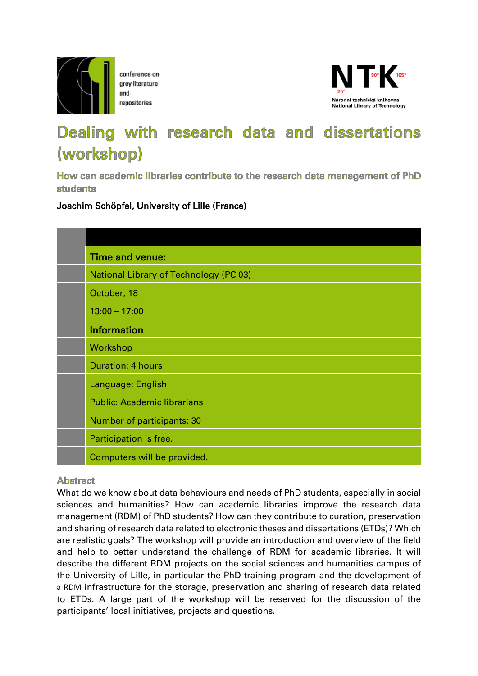

conference-ongrey-literature repositories



## Dealing with research data and dissertations (workshop)

How can academic libraries contribute to the research data management of PhD **students** 

Joachim Schöpfel, University of Lille (France)

| Time and venue:                               |
|-----------------------------------------------|
| <b>National Library of Technology (PC 03)</b> |
| October, 18                                   |
| $13:00 - 17:00$                               |
| <b>Information</b>                            |
| Workshop                                      |
| <b>Duration: 4 hours</b>                      |
| Language: English                             |
| <b>Public: Academic librarians</b>            |
| Number of participants: 30                    |
| Participation is free.                        |
| Computers will be provided.                   |

## **Abstract**

What do we know about data behaviours and needs of PhD students, especially in social sciences and humanities? How can academic libraries improve the research data management (RDM) of PhD students? How can they contribute to curation, preservation and sharing of research data related to electronic theses and dissertations (ETDs)? Which are realistic goals? The workshop will provide an introduction and overview of the field and help to better understand the challenge of RDM for academic libraries. It will describe the different RDM projects on the social sciences and humanities campus of the University of Lille, in particular the PhD training program and the development of a RDM infrastructure for the storage, preservation and sharing of research data related to ETDs. A large part of the workshop will be reserved for the discussion of the participants' local initiatives, projects and questions.